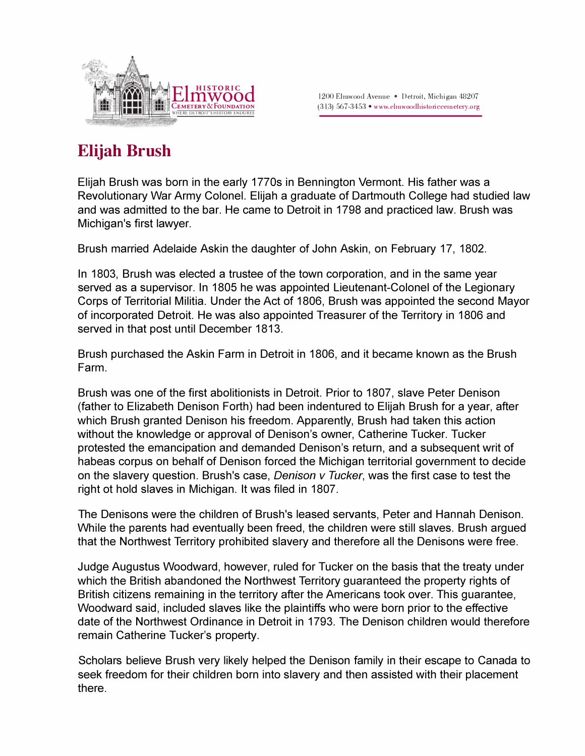

## **Elijah Brush**

Elijah Brush was born in the early 1770s in Bennington Vermont. His father was a Revolutionary War Army Colonel. Elijah a graduate of Dartmouth College had studied law and was admitted to the bar. He came to Detroit in 1798 and practiced law. Brush was Michigan's first lawyer.

Brush married Adelaide Askin the daughter of John Askin, on February 17, 1802.

In 1803, Brush was elected a trustee of the town corporation, and in the same year served as a supervisor. In 1805 he was appointed Lieutenant-Colonel of the Legionary Corps of Territorial Militia. Under the Act of 1806, Brush was appointed the second Mayor of incorporated Detroit. He was also appointed Treasurer of the Territory in 1806 and served in that post until December 1813.

Brush purchased the Askin Farm in Detroit in 1806, and it became known as the Brush Farm.

Brush was one of the first abolitionists in Detroit. Prior to 1807, slave Peter Denison (father to Elizabeth Denison Forth) had been indentured to Elijah Brush for a year, after which Brush granted Denison his freedom. Apparently, Brush had taken this action without the knowledge or approval of Denison's owner, Catherine Tucker. Tucker protested the emancipation and demanded Denison's return, and a subsequent writ of habeas corpus on behalf of Denison forced the Michigan territorial government to decide on the slavery question. Brush's case, *Denison v Tucker,* was the first case to test the right ot hold slaves in Michigan. It was filed in 1807.

The Denisons were the children of Brush's leased servants, Peter and Hannah Denison. While the parents had eventually been freed, the children were still slaves. Brush argued that the Northwest Territory prohibited slavery and therefore all the Denisons were free.

Judge Augustus Woodward, however, ruled for Tucker on the basis that the treaty under which the British abandoned the Northwest Territory guaranteed the property rights of British citizens remaining in the territory after the Americans took over. This guarantee, Woodward said, included slaves like the plaintiffs who were born prior to the effective date of the Northwest Ordinance in Detroit in 1793. The Denison children would therefore remain Catherine Tucker's property.

Scholars believe Brush very likely helped the Denison family in their escape to Canada to seek freedom for their children born into slavery and then assisted with their placement there.